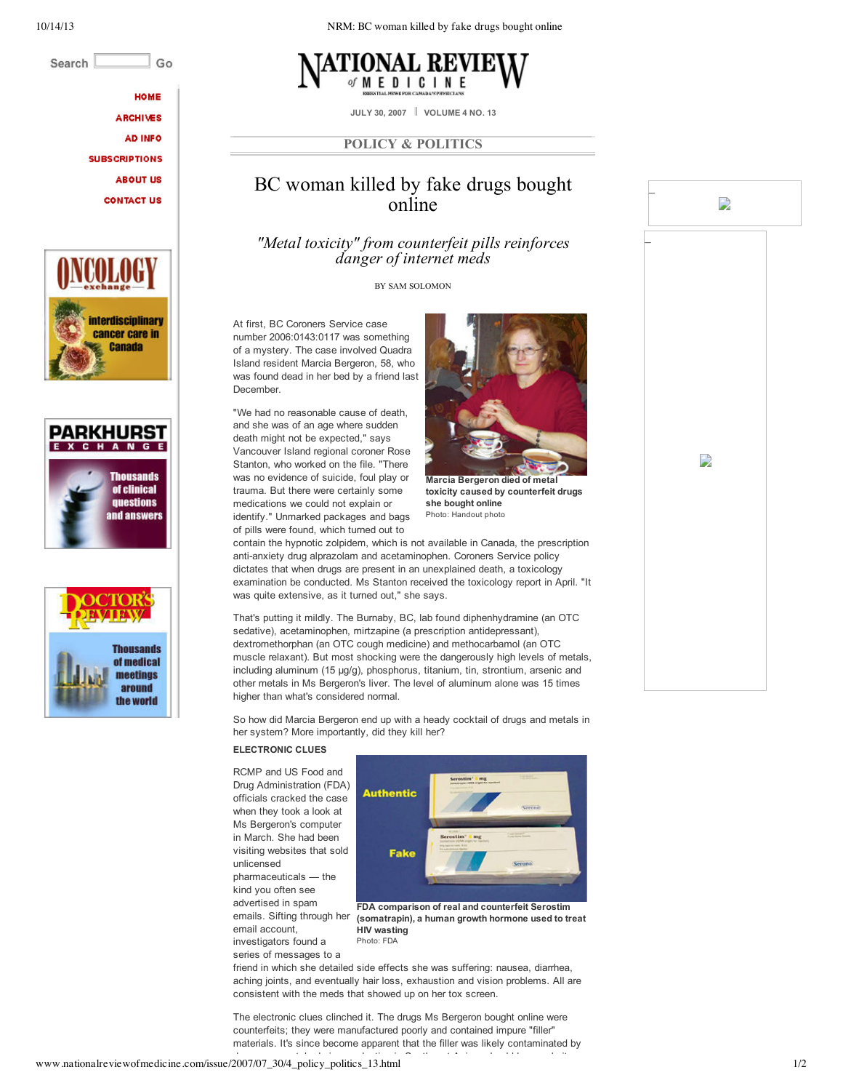Search Go

**НОМЕ** 

**ARCHIVES AD INFO** 

**SUBSCRIPTIONS ABOUT US** 

**CONTACT US** 







10/14/13 NRM: BC woman killed by fake drugs bought online



**JULY 30, 2007 VOLUME 4 NO. 13**

## **POLICY & POLITICS**

# BC woman killed by fake drugs bought online

*"Metal toxicity" from counterfeit pills reinforces danger of internet meds*

BY SAM SOLOMON

At first, BC Coroners Service case number 2006:0143:0117 was something of a mystery. The case involved Quadra Island resident Marcia Bergeron, 58, who was found dead in her bed by a friend last December.

"We had no reasonable cause of death, and she was of an age where sudden death might not be expected," says Vancouver Island regional coroner Rose Stanton, who worked on the file. "There was no evidence of suicide, foul play or trauma. But there were certainly some medications we could not explain or identify." Unmarked packages and bags of pills were found, which turned out to



\_

 $\Rightarrow$ 

D

\_

**Marcia Bergeron died of metal toxicity caused by counterfeit drugs she bought online** Photo: Handout photo

contain the hypnotic zolpidem, which is not available in Canada, the prescription anti-anxiety drug alprazolam and acetaminophen. Coroners Service policy dictates that when drugs are present in an unexplained death, a toxicology examination be conducted. Ms Stanton received the toxicology report in April. "It was quite extensive, as it turned out," she says.

That's putting it mildly. The Burnaby, BC, lab found diphenhydramine (an OTC sedative), acetaminophen, mirtzapine (a prescription antidepressant), dextromethorphan (an OTC cough medicine) and methocarbamol (an OTC muscle relaxant). But most shocking were the dangerously high levels of metals, including aluminum (15 µg/g), phosphorus, titanium, tin, strontium, arsenic and other metals in Ms Bergeron's liver. The level of aluminum alone was 15 times higher than what's considered normal.

So how did Marcia Bergeron end up with a heady cocktail of drugs and metals in her system? More importantly, did they kill her?

## **ELECTRONIC CLUES**

RCMP and US Food and Drug Administration (FDA) officials cracked the case when they took a look at Ms Bergeron's computer in March. She had been visiting websites that sold unlicensed pharmaceuticals — the kind you often see

advertised in spam emails. Sifting through her email account, investigators found a series of messages to a



**FDA comparison of real and counterfeit Serostim (somatrapin), a human growth hormone used to treat HIV wasting** Photo: FDA

friend in which she detailed side effects she was suffering: nausea, diarrhea, aching joints, and eventually hair loss, exhaustion and vision problems. All are consistent with the meds that showed up on her tox screen.

The electronic clues clinched it. The drugs Ms Bergeron bought online were counterfeits; they were manufactured poorly and contained impure "filler" materials. It's since become apparent that the filler was likely contaminated by